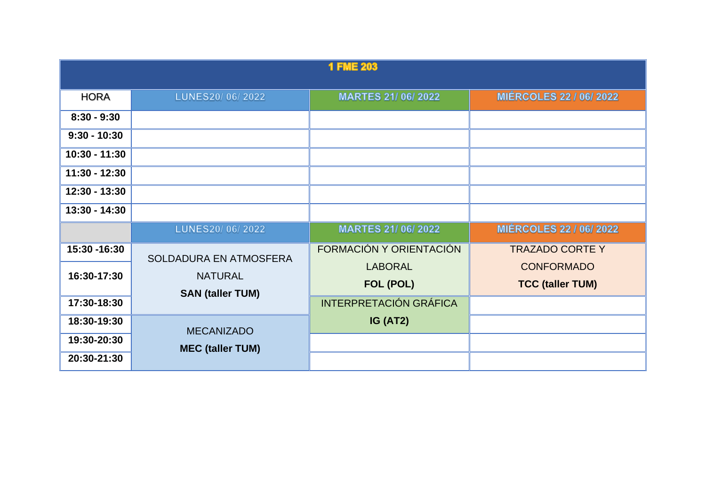| <b>1 FME 203</b> |                                                                     |                               |                                |
|------------------|---------------------------------------------------------------------|-------------------------------|--------------------------------|
| <b>HORA</b>      | LUNES20/06/2022                                                     | <b>MARTES 21/06/2022</b>      | <b>MIÉRCOLES 22 / 06/ 2022</b> |
| $8:30 - 9:30$    |                                                                     |                               |                                |
| $9:30 - 10:30$   |                                                                     |                               |                                |
| $10:30 - 11:30$  |                                                                     |                               |                                |
| $11:30 - 12:30$  |                                                                     |                               |                                |
| 12:30 - 13:30    |                                                                     |                               |                                |
| $13:30 - 14:30$  |                                                                     |                               |                                |
|                  | LUNES20/06/2022                                                     | <b>MARTES 21/06/2022</b>      | <b>MIÉRCOLES 22 / 06/ 2022</b> |
| 15:30 - 16:30    | SOLDADURA EN ATMOSFERA<br><b>NATURAL</b><br><b>SAN (taller TUM)</b> | FORMACIÓN Y ORIENTACIÓN       | <b>TRAZADO CORTE Y</b>         |
| 16:30-17:30      |                                                                     | <b>LABORAL</b>                | <b>CONFORMADO</b>              |
|                  |                                                                     | FOL (POL)                     | <b>TCC (taller TUM)</b>        |
| 17:30-18:30      |                                                                     | <b>INTERPRETACIÓN GRÁFICA</b> |                                |
| 18:30-19:30      | <b>MECANIZADO</b>                                                   | IG (AT2)                      |                                |
| 19:30-20:30      | <b>MEC (taller TUM)</b>                                             |                               |                                |
| 20:30-21:30      |                                                                     |                               |                                |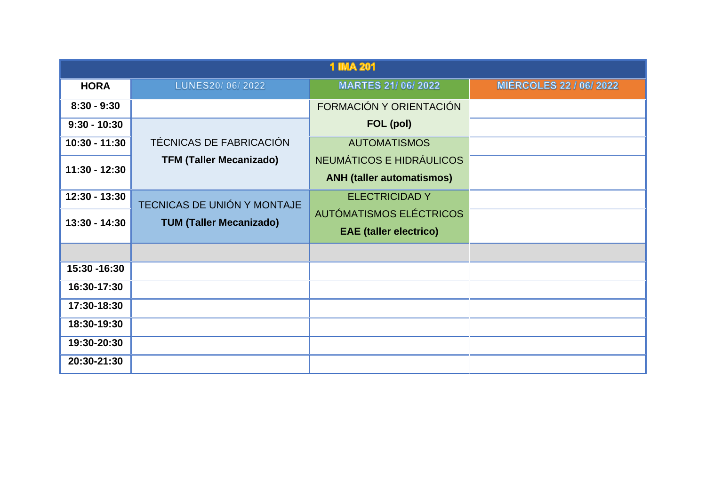| <b>1 IMA 201</b> |                                |                                                              |                                |
|------------------|--------------------------------|--------------------------------------------------------------|--------------------------------|
| <b>HORA</b>      | LUNES20/06/2022                | <b>MARTES 21/06/2022</b>                                     | <b>MIÉRCOLES 22 / 06/ 2022</b> |
| $8:30 - 9:30$    |                                | FORMACIÓN Y ORIENTACIÓN                                      |                                |
| $9:30 - 10:30$   |                                | FOL (pol)                                                    |                                |
| $10:30 - 11:30$  | TÉCNICAS DE FABRICACIÓN        | <b>AUTOMATISMOS</b>                                          |                                |
| $11:30 - 12:30$  | <b>TFM (Taller Mecanizado)</b> | NEUMÁTICOS E HIDRÁULICOS<br><b>ANH (taller automatismos)</b> |                                |
| $12:30 - 13:30$  | TECNICAS DE UNIÓN Y MONTAJE    | <b>ELECTRICIDAD Y</b>                                        |                                |
| $13:30 - 14:30$  | <b>TUM (Taller Mecanizado)</b> | AUTÓMATISMOS ELÉCTRICOS<br><b>EAE</b> (taller electrico)     |                                |
|                  |                                |                                                              |                                |
| 15:30 - 16:30    |                                |                                                              |                                |
| 16:30-17:30      |                                |                                                              |                                |
| 17:30-18:30      |                                |                                                              |                                |
| 18:30-19:30      |                                |                                                              |                                |
| 19:30-20:30      |                                |                                                              |                                |
| 20:30-21:30      |                                |                                                              |                                |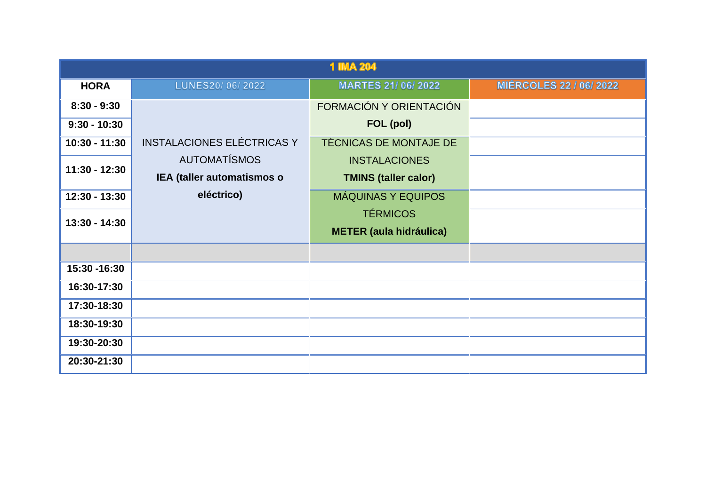| <b>1 IMA 204</b> |                                                   |                                                     |                                |
|------------------|---------------------------------------------------|-----------------------------------------------------|--------------------------------|
| <b>HORA</b>      | LUNES20/06/2022                                   | <b>MARTES 21/06/2022</b>                            | <b>MIÉRCOLES 22 / 06/ 2022</b> |
| $8:30 - 9:30$    |                                                   | FORMACIÓN Y ORIENTACIÓN                             |                                |
| $9:30 - 10:30$   |                                                   | FOL (pol)                                           |                                |
| $10:30 - 11:30$  | <b>INSTALACIONES ELÉCTRICAS Y</b>                 | TÉCNICAS DE MONTAJE DE                              |                                |
| $11:30 - 12:30$  | <b>AUTOMATÍSMOS</b><br>IEA (taller automatismos o | <b>INSTALACIONES</b><br><b>TMINS (taller calor)</b> |                                |
| 12:30 - 13:30    | eléctrico)                                        | <b>MÁQUINAS Y EQUIPOS</b>                           |                                |
| $13:30 - 14:30$  |                                                   | <b>TÉRMICOS</b><br><b>METER (aula hidráulica)</b>   |                                |
|                  |                                                   |                                                     |                                |
| 15:30 - 16:30    |                                                   |                                                     |                                |
| 16:30-17:30      |                                                   |                                                     |                                |
| 17:30-18:30      |                                                   |                                                     |                                |
| 18:30-19:30      |                                                   |                                                     |                                |
| 19:30-20:30      |                                                   |                                                     |                                |
| 20:30-21:30      |                                                   |                                                     |                                |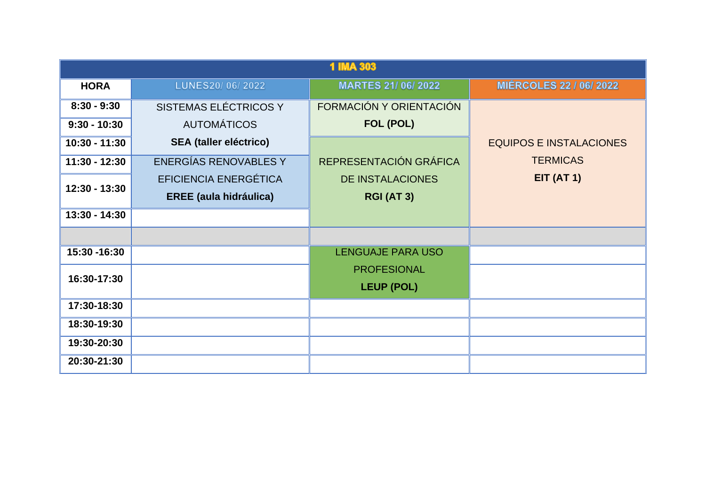| <b>1 IMA 303</b> |                               |                          |                                |
|------------------|-------------------------------|--------------------------|--------------------------------|
| <b>HORA</b>      | LUNES20/06/2022               | <b>MARTES 21/06/2022</b> | <b>MIÉRCOLES 22 / 06/ 2022</b> |
| $8:30 - 9:30$    | SISTEMAS ELÉCTRICOS Y         | FORMACIÓN Y ORIENTACIÓN  |                                |
| $9:30 - 10:30$   | <b>AUTOMÁTICOS</b>            | FOL (POL)                |                                |
| $10:30 - 11:30$  | <b>SEA (taller eléctrico)</b> |                          | <b>EQUIPOS E INSTALACIONES</b> |
| $11:30 - 12:30$  | <b>ENERGÍAS RENOVABLES Y</b>  | REPRESENTACIÓN GRÁFICA   | <b>TERMICAS</b>                |
| 12:30 - 13:30    | <b>EFICIENCIA ENERGÉTICA</b>  | <b>DE INSTALACIONES</b>  | <b>EIT (AT 1)</b>              |
|                  | <b>EREE (aula hidráulica)</b> | <b>RGI (AT 3)</b>        |                                |
| $13:30 - 14:30$  |                               |                          |                                |
|                  |                               |                          |                                |
| 15:30 - 16:30    |                               | <b>LENGUAJE PARA USO</b> |                                |
| 16:30-17:30      |                               | <b>PROFESIONAL</b>       |                                |
|                  |                               | <b>LEUP (POL)</b>        |                                |
| 17:30-18:30      |                               |                          |                                |
| 18:30-19:30      |                               |                          |                                |
| 19:30-20:30      |                               |                          |                                |
| 20:30-21:30      |                               |                          |                                |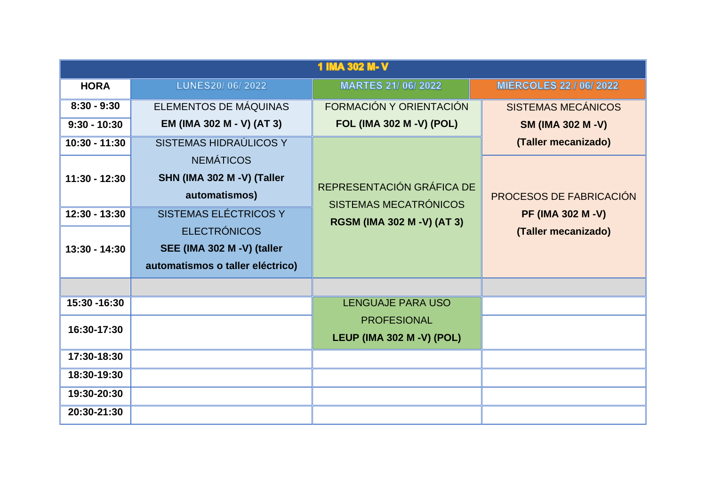| 1 IMA 302 M-V   |                                  |                                  |                                |
|-----------------|----------------------------------|----------------------------------|--------------------------------|
| <b>HORA</b>     | LUNES20/06/2022                  | <b>MARTES 21/06/2022</b>         | <b>MIÉRCOLES 22 / 06/ 2022</b> |
| $8:30 - 9:30$   | ELEMENTOS DE MÁQUINAS            | FORMACIÓN Y ORIENTACIÓN          | <b>SISTEMAS MECÁNICOS</b>      |
| $9:30 - 10:30$  | EM (IMA 302 M - V) (AT 3)        | <b>FOL (IMA 302 M -V) (POL)</b>  | <b>SM (IMA 302 M -V)</b>       |
| 10:30 - 11:30   | SISTEMAS HIDRAÚLICOS Y           |                                  | (Taller mecanizado)            |
|                 | <b>NEMÁTICOS</b>                 |                                  |                                |
| $11:30 - 12:30$ | SHN (IMA 302 M -V) (Taller       | REPRESENTACIÓN GRÁFICA DE        |                                |
|                 | automatismos)                    | SISTEMAS MECATRÓNICOS            | <b>PROCESOS DE FABRICACIÓN</b> |
| $12:30 - 13:30$ | <b>SISTEMAS ELÉCTRICOS Y</b>     | RGSM (IMA 302 M -V) (AT 3)       | <b>PF (IMA 302 M -V)</b>       |
|                 | <b>ELECTRÓNICOS</b>              |                                  | (Taller mecanizado)            |
| $13:30 - 14:30$ | SEE (IMA 302 M -V) (taller       |                                  |                                |
|                 | automatismos o taller eléctrico) |                                  |                                |
|                 |                                  |                                  |                                |
| 15:30 - 16:30   |                                  | <b>LENGUAJE PARA USO</b>         |                                |
| 16:30-17:30     |                                  | <b>PROFESIONAL</b>               |                                |
|                 |                                  | <b>LEUP (IMA 302 M -V) (POL)</b> |                                |
| 17:30-18:30     |                                  |                                  |                                |
| 18:30-19:30     |                                  |                                  |                                |
| 19:30-20:30     |                                  |                                  |                                |
| 20:30-21:30     |                                  |                                  |                                |